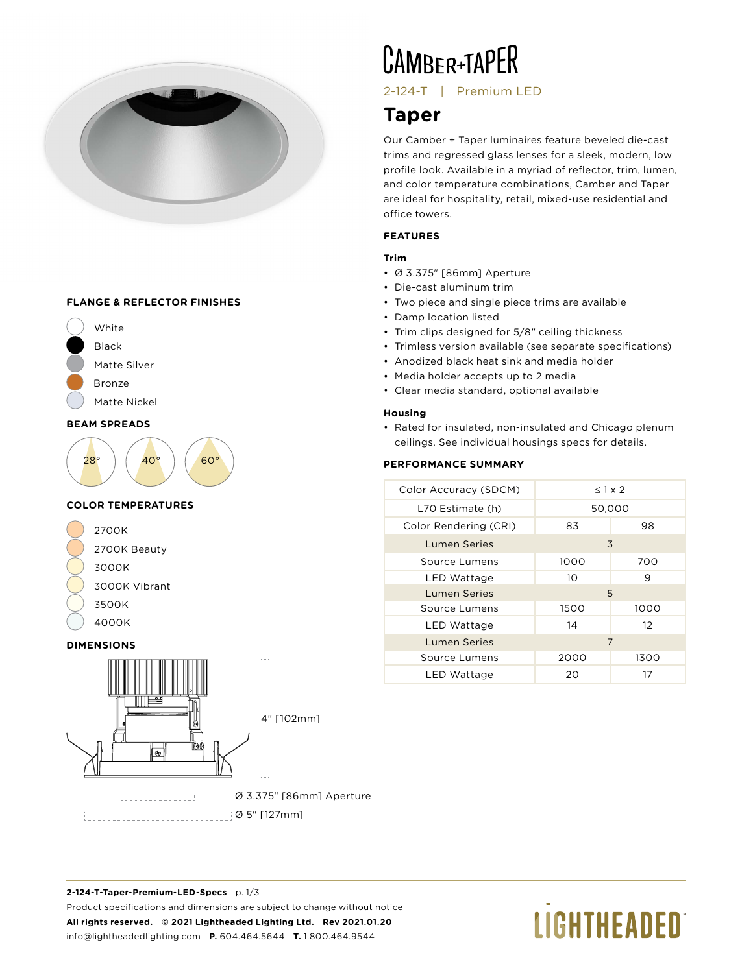

#### **FLANGE & REFLECTOR FINISHES**





#### **COLOR TEMPERATURES**



#### **DIMENSIONS**



# **CAMBER+TAPER**

2-124-T | Premium LED

### **Taper**

Our Camber + Taper luminaires feature beveled die-cast trims and regressed glass lenses for a sleek, modern, low profile look. Available in a myriad of reflector, trim, lumen, and color temperature combinations, Camber and Taper are ideal for hospitality, retail, mixed-use residential and office towers.

#### **FEATURES**

#### **Trim**

- Ø 3.375" [86mm] Aperture
- Die-cast aluminum trim
- Two piece and single piece trims are available
- Damp location listed
- Trim clips designed for 5/8" ceiling thickness
- Trimless version available (see separate specifications)
- Anodized black heat sink and media holder
- Media holder accepts up to 2 media
- Clear media standard, optional available

### **Housing**

• Rated for insulated, non-insulated and Chicago plenum ceilings. See individual housings specs for details.

### **PERFORMANCE SUMMARY**

| Color Accuracy (SDCM) | $< 1 \times 2$ |      |  |  |
|-----------------------|----------------|------|--|--|
| L70 Estimate (h)      | 50,000         |      |  |  |
| Color Rendering (CRI) | 83<br>98       |      |  |  |
| <b>Lumen Series</b>   |                | 3    |  |  |
| Source Lumens         | 1000           | 700  |  |  |
| LED Wattage           | 10             | 9    |  |  |
| <b>Lumen Series</b>   | 5              |      |  |  |
| Source Lumens         | 1500           | 1000 |  |  |
| LED Wattage           | 14             | 12   |  |  |
| Lumen Series          | 7              |      |  |  |
| Source Lumens         | 2000           | 1300 |  |  |
| LED Wattage           | 20             | 17   |  |  |

**2-124-T-Taper-Premium-LED-Specs** p. 1/3 Product specifications and dimensions are subject to change without notice **All rights reserved. © 2021 Lightheaded Lighting Ltd. Rev 2021.01.20** info@lightheadedlighting.com **P.** 604.464.5644 **T.** 1.800.464.9544

# **LIGHTHEADED**®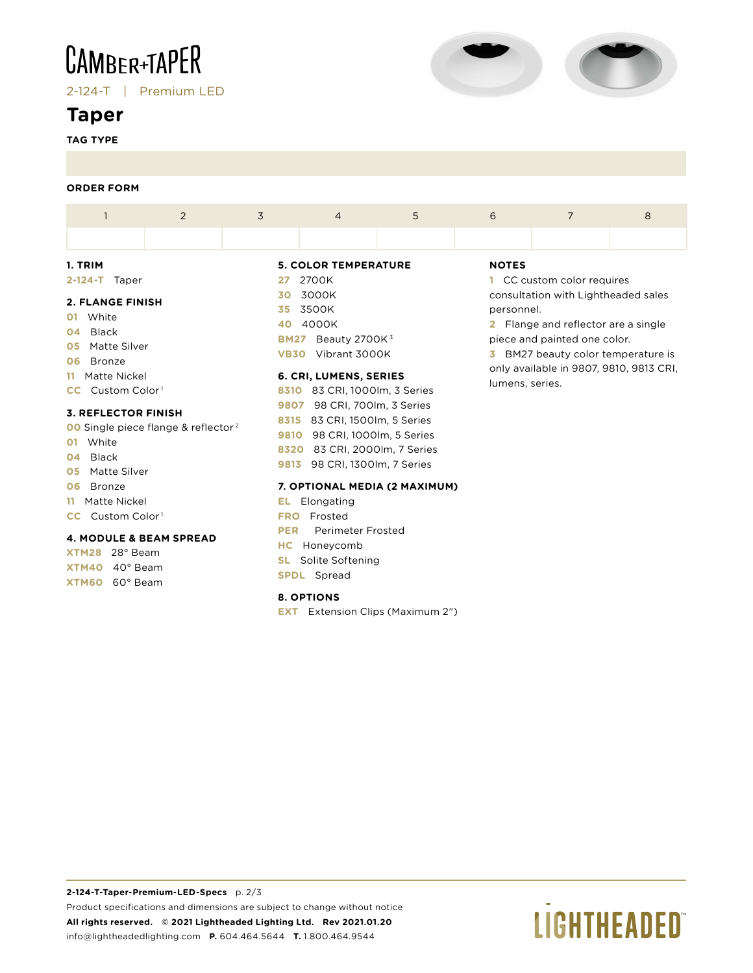## **CAMBER+TAPER**

2-124-T | Premium LED

### **Taper**

**TAG TYPE**



#### **ORDER FORM**

|                                                                                                              | $\overline{2}$ | 3               | $\overline{4}$                                                                             | 5 | 6            |                                                                                                                                                                              | 8 |  |  |
|--------------------------------------------------------------------------------------------------------------|----------------|-----------------|--------------------------------------------------------------------------------------------|---|--------------|------------------------------------------------------------------------------------------------------------------------------------------------------------------------------|---|--|--|
|                                                                                                              |                |                 |                                                                                            |   |              |                                                                                                                                                                              |   |  |  |
| 1. TRIM                                                                                                      |                |                 | <b>5. COLOR TEMPERATURE</b>                                                                |   | <b>NOTES</b> |                                                                                                                                                                              |   |  |  |
| $2 - 124 - T$<br>Taper                                                                                       |                | 27              | 2700K<br>1 CC custom color requires                                                        |   |              |                                                                                                                                                                              |   |  |  |
| <b>2. FLANGE FINISH</b><br>White<br>O1.<br>04 Black<br>Matte Silver<br>05<br>Bronze<br>06<br>11 Matte Nickel |                | 30<br>35.<br>40 | 3000K<br>3500K<br>4000K<br>Beauty 2700K $3$<br><b>BM27</b><br>Vibrant 3000K<br><b>VB30</b> |   |              | consultation with Lightheaded sales<br>personnel.<br><b>2</b> Flange and reflector are a single<br>piece and painted one color.<br><b>3</b> BM27 beauty color temperature is |   |  |  |
|                                                                                                              |                |                 | 6. CRI, LUMENS, SERIES                                                                     |   |              | only available in 9807, 9810, 9813 CRI,<br>lumens, series.                                                                                                                   |   |  |  |
| $CC$ Custom Color <sup>1</sup>                                                                               |                |                 | 83 CRI, 1000lm, 3 Series<br>8310                                                           |   |              |                                                                                                                                                                              |   |  |  |
| 7. BEELEATAB FINICUL                                                                                         |                | 9807            | 98 CRI, 700lm, 3 Series                                                                    |   |              |                                                                                                                                                                              |   |  |  |

#### **3. REFLECTOR FINISH**

- **00** Single piece flange & reflector 2
- **01** White
- **04** Black
- **05** Matte Silver
- **06** Bronze
- **11** Matte Nickel
- **CC** Custom Color<sup>1</sup>

#### **4. MODULE & BEAM SPREAD**

**XTM28** 28° Beam **XTM40** 40° Beam **XTM60** 60° Beam

| 8310 83 CRI, 1000lm, 3 Series |
|-------------------------------|
| 9807 98 CRI, 700lm, 3 Series  |
| 8315 83 CRI, 1500lm, 5 Series |
| 9810 98 CRI, 1000lm, 5 Series |
| 8320 83 CRI, 2000lm, 7 Series |
| 9813 98 CRI, 1300lm, 7 Series |

#### **7. OPTIONAL MEDIA (2 MAXIMUM)**

**EL** Elongating **FRO** Frosted **PER** Perimeter Frosted **HC** Honeycomb **SL** Solite Softening **SPDL** Spread

#### **8. OPTIONS**

**EXT** Extension Clips (Maximum 2")

## **LIGHTHEADED**